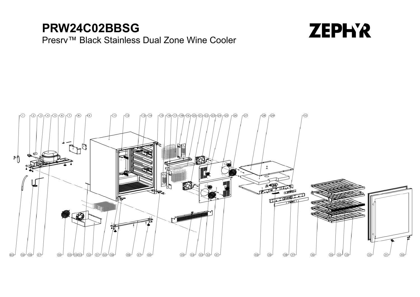## **PRW24C02BBSG**

## Presrv ™ Black Stainless Dual Zone Wine Cooler



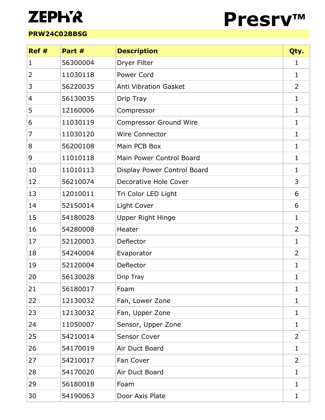## **ZEPH'R**

## **PRW24C02BBSG**



| Ref#         | Part #   | <b>Description</b>            | Qty.           |
|--------------|----------|-------------------------------|----------------|
| $\mathbf{1}$ | 56300004 | Dryer Filter                  | 1              |
| 2            | 11030118 | <b>Power Cord</b>             | 1              |
| 3            | 56220035 | <b>Anti Vibration Gasket</b>  | 2              |
| 4            | 56130035 | Drip Tray                     | 1              |
| 5            | 12160006 | Compressor                    | 1              |
| 6            | 11030119 | <b>Compressor Ground Wire</b> | 1              |
| 7            | 11030120 | <b>Wire Connector</b>         | $\mathbf{1}$   |
| 8            | 56200108 | Main PCB Box                  | 1              |
| 9            | 11010118 | Main Power Control Board      | 1              |
| 10           | 11010113 | Display Power Control Board   | 1              |
| 12           | 56210074 | Decorative Hole Cover         | 3              |
| 13           | 12010011 | Tri Color LED Light           | 6              |
| 14           | 52150014 | Light Cover                   | 6              |
| 15           | 54180028 | <b>Upper Right Hinge</b>      | 1              |
| 16           | 54280008 | Heater                        | 2              |
| 17           | 52120003 | Deflector                     | 1              |
| 18           | 54240004 | Evaporator                    | 2              |
| 19           | 52120004 | Deflector                     | 1              |
| 20           | 56130028 | Drip Tray                     | 1              |
| 21           | 56180017 | Foam                          | 1              |
| 22           | 12130032 | Fan, Lower Zone               | 1              |
| 23           | 12130032 | Fan, Upper Zone               | 1              |
| 24           | 11050007 | Sensor, Upper Zone            | 1              |
| 25           | 54210014 | <b>Sensor Cover</b>           | $\overline{2}$ |
| 26           | 54170019 | Air Duct Board                | 1              |
| 27           | 54210017 | Fan Cover                     | 2              |
| 28           | 54170020 | Air Duct Board                | 1              |
| 29           | 56180018 | Foam                          | 1              |
| 30           | 54190063 | Door Axis Plate               | 1              |